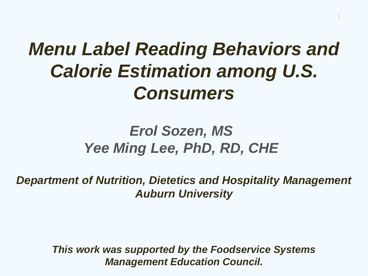## *Menu Label Reading Behaviors and Calorie Estimation among U.S. Consumers*

**1**

#### *Erol Sozen, MS Yee Ming Lee, PhD, RD, CHE*

*Department of Nutrition, Dietetics and Hospitality Management Auburn University*

> *This work was supported by the Foodservice Systems Management Education Council.*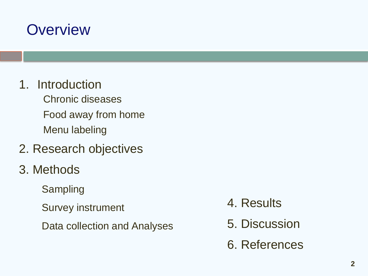#### **Overview**

- 1. Introduction
	- Chronic diseases Food away from home Menu labeling
- 2. Research objectives
- 3. Methods
	- Sampling
	- Survey instrument
	- Data collection and Analyses
- 4. Results
- 5. Discussion
- 6. References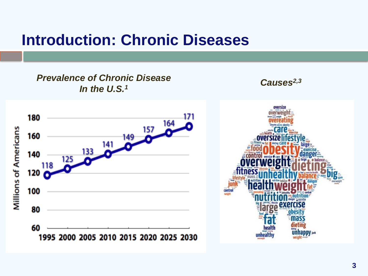#### **Introduction: Chronic Diseases**

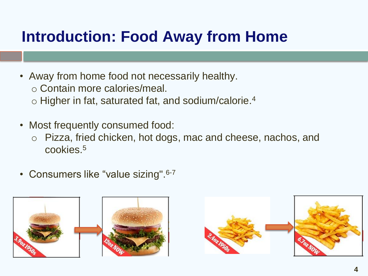#### **Introduction: Food Away from Home**

- Away from home food not necessarily healthy.
	- o Contain more calories/meal.
	- $\circ$  Higher in fat, saturated fat, and sodium/calorie.<sup>4</sup>
- Most frequently consumed food:
	- o Pizza, fried chicken, hot dogs, mac and cheese, nachos, and cookies.<sup>5</sup>
- Consumers like "value sizing". 6-7



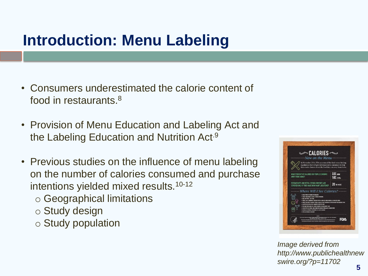#### **Introduction: Menu Labeling**

- Consumers underestimated the calorie content of food in restaurants.<sup>8</sup>
- Provision of Menu Education and Labeling Act and the Labeling Education and Nutrition Act.9
- Previous studies on the influence of menu labeling on the number of calories consumed and purchase intentions yielded mixed results.10-12
	- o Geographical limitations
	- o Study design
	- o Study population



*Image derived from http://www.publichealthnew swire.org/?p=11702*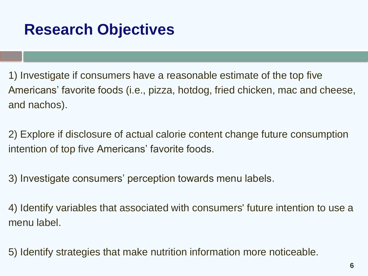#### **Research Objectives**

1) Investigate if consumers have a reasonable estimate of the top five Americans' favorite foods (i.e., pizza, hotdog, fried chicken, mac and cheese, and nachos).

2) Explore if disclosure of actual calorie content change future consumption intention of top five Americans' favorite foods.

3) Investigate consumers' perception towards menu labels.

4) Identify variables that associated with consumers' future intention to use a menu label.

5) Identify strategies that make nutrition information more noticeable.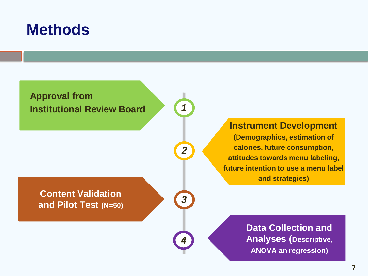#### **Methods**



*1*

*2*

*3*

*4*

**Content Validation and Pilot Test (N=50)** **Instrument Development**

**(Demographics, estimation of calories, future consumption, attitudes towards menu labeling, future intention to use a menu label and strategies)** 

> **Data Collection and Analyses (Descriptive, ANOVA an regression)**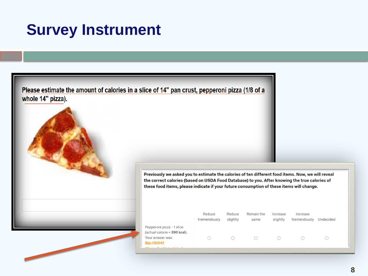#### **Survey Instrument**

Please estimate the amount of calories in a slice of 14" pan crust, pepperoni pizza (1/8 of a whole 14" pizza).



|                                                                                                            | Reduce<br>tremendously | Reduce<br>slightly | Remain the<br>same | Increase<br>slightly | Increase<br>tremendously | Undecided |  |
|------------------------------------------------------------------------------------------------------------|------------------------|--------------------|--------------------|----------------------|--------------------------|-----------|--|
| Pepperoni pizza - 1 slice<br>(actual calorie = 390 kcal).                                                  |                        |                    |                    |                      |                          |           |  |
| Your answer was<br>\${q://QID42<br>$\mathbf{r}$ , and the set of $\mathbf{r}$ , and $\mathbf{r}$<br>$\sim$ |                        |                    |                    |                      |                          |           |  |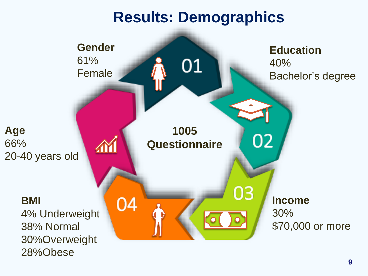#### **Results: Demographics**

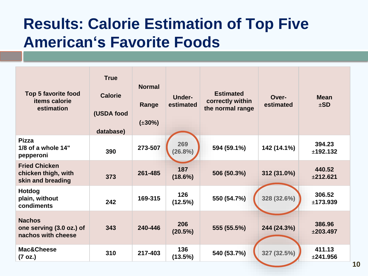#### **Results: Calorie Estimation of Top Five American's Favorite Foods**

| <b>Top 5 favorite food</b><br>items calorie<br>estimation        | <b>True</b><br><b>Calorie</b><br>(USDA food<br>database) | <b>Normal</b><br>Range<br>$(\pm 30\%)$ | <b>Under-</b><br>estimated | <b>Estimated</b><br>correctly within<br>the normal range | Over-<br>estimated | <b>Mean</b><br>$\pm$ SD |
|------------------------------------------------------------------|----------------------------------------------------------|----------------------------------------|----------------------------|----------------------------------------------------------|--------------------|-------------------------|
| <b>Pizza</b><br>1/8 of a whole $14"$<br>pepperoni                | 390                                                      | 273-507                                | 269<br>(26.8%)             | 594 (59.1%)                                              | 142 (14.1%)        | 394.23<br>±192.132      |
| <b>Fried Chicken</b><br>chicken thigh, with<br>skin and breading | 373                                                      | 261-485                                | 187<br>$(18.6\%)$          | 506 (50.3%)                                              | 312 (31.0%)        | 440.52<br>±212.621      |
| <b>Hotdog</b><br>plain, without<br>condiments                    | 242                                                      | 169-315                                | 126<br>(12.5%)             | 550 (54.7%)                                              | 328 (32.6%)        | 306.52<br>±173.939      |
| <b>Nachos</b><br>one serving (3.0 oz.) of<br>nachos with cheese  | 343                                                      | 240-446                                | 206<br>(20.5%)             | 555 (55.5%)                                              | 244 (24.3%)        | 386.96<br>±203.497      |
| <b>Mac&amp;Cheese</b><br>(7 oz.)                                 | 310                                                      | 217-403                                | 136<br>(13.5%)             | 540 (53.7%)                                              | 327 (32.5%)        | 411.13<br>±241.956      |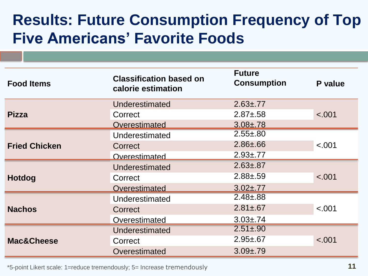#### **Results: Future Consumption Frequency of Top Five Americans' Favorite Foods**

| <b>Food Items</b>    | <b>Classification based on</b><br>calorie estimation | <b>Future</b><br><b>Consumption</b> | P value |  |
|----------------------|------------------------------------------------------|-------------------------------------|---------|--|
|                      | Underestimated                                       | $2.63 \pm .77$                      |         |  |
| <b>Pizza</b>         | Correct                                              | $2.87 + .58$                        | < .001  |  |
|                      | Overestimated                                        | $3.08 \pm .78$                      |         |  |
|                      | Underestimated                                       | $2.55 + .80$                        | < .001  |  |
| <b>Fried Chicken</b> | Correct                                              | $2.86 \pm .66$                      |         |  |
|                      | Overestimated                                        | $2.93 \pm .77$                      |         |  |
|                      | Underestimated                                       | $2.63 \pm .87$                      |         |  |
| <b>Hotdog</b>        | Correct                                              | $2.88 + 59$                         | < .001  |  |
|                      | Overestimated                                        | $3.02 \pm .77$                      |         |  |
|                      | Underestimated                                       | $2.48 \pm .88$                      | < .001  |  |
| <b>Nachos</b>        | Correct                                              | $2.81 \pm .67$                      |         |  |
|                      | Overestimated                                        | $3.03 \pm .74$                      |         |  |
|                      | Underestimated                                       | $2.51 \pm .90$                      |         |  |
| Mac&Cheese           | Correct                                              | $2.95 \pm 0.67$                     | < .001  |  |
|                      | Overestimated                                        | $3.09 + .79$                        |         |  |

\*5-point Likert scale: 1=reduce tremendously; 5= Increase tremendously **11**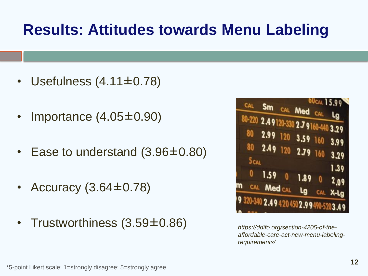#### **Results: Attitudes towards Menu Labeling**

- Usefulness (4.11±0.78)
- Importance (4.05±0.90)
- Ease to understand (3.96±0.80)
- Accuracy  $(3.64\pm0.78)$
- Trustworthiness (3.59±0.86) *https://ddifo.org/section-4205-of-the-*



*affordable-care-act-new-menu-labelingrequirements/*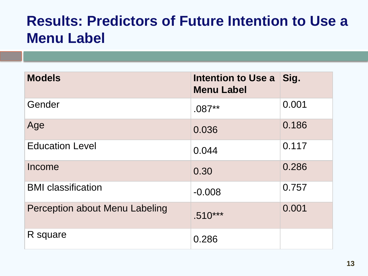#### **Results: Predictors of Future Intention to Use a Menu Label**

| <b>Models</b>                  | <b>Intention to Use a</b><br><b>Menu Label</b> | Sig.  |
|--------------------------------|------------------------------------------------|-------|
| Gender                         | $.087**$                                       | 0.001 |
| Age                            | 0.036                                          | 0.186 |
| <b>Education Level</b>         | 0.044                                          | 0.117 |
| Income                         | 0.30                                           | 0.286 |
| <b>BMI</b> classification      | $-0.008$                                       | 0.757 |
| Perception about Menu Labeling | $.510***$                                      | 0.001 |
| R square                       | 0.286                                          |       |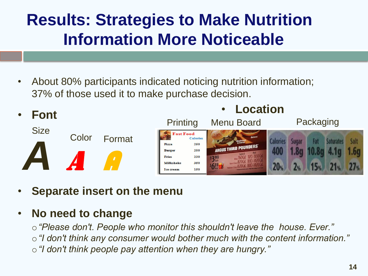### **Results: Strategies to Make Nutrition Information More Noticeable**

• About 80% participants indicated noticing nutrition information; 37% of those used it to make purchase decision.



• **Separate insert on the menu**

#### • **No need to change**

o*"Please don't. People who monitor this shouldn't leave the house. Ever."*  o*"I don't think any consumer would bother much with the content information."*  o*"I don't think people pay attention when they are hungry."*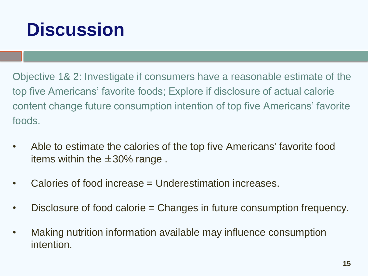## **Discussion**

Objective 1& 2: Investigate if consumers have a reasonable estimate of the top five Americans' favorite foods; Explore if disclosure of actual calorie content change future consumption intention of top five Americans' favorite foods.

- Able to estimate the calories of the top five Americans' favorite food items within the ±30% range .
- Calories of food increase = Underestimation increases.
- Disclosure of food calorie = Changes in future consumption frequency.
- Making nutrition information available may influence consumption intention.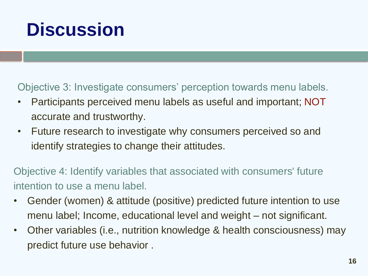## **Discussion**

Objective 3: Investigate consumers' perception towards menu labels.

- Participants perceived menu labels as useful and important; NOT accurate and trustworthy.
- Future research to investigate why consumers perceived so and identify strategies to change their attitudes.

Objective 4: Identify variables that associated with consumers' future intention to use a menu label.

- Gender (women) & attitude (positive) predicted future intention to use menu label; Income, educational level and weight – not significant.
- Other variables (i.e., nutrition knowledge & health consciousness) may predict future use behavior .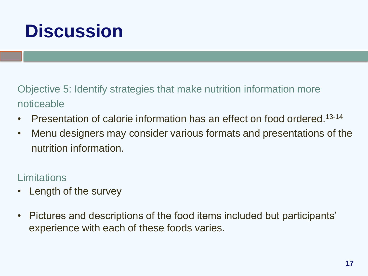## **Discussion**

Objective 5: Identify strategies that make nutrition information more noticeable

- Presentation of calorie information has an effect on food ordered.<sup>13-14</sup>
- Menu designers may consider various formats and presentations of the nutrition information.

Limitations

- Length of the survey
- Pictures and descriptions of the food items included but participants' experience with each of these foods varies.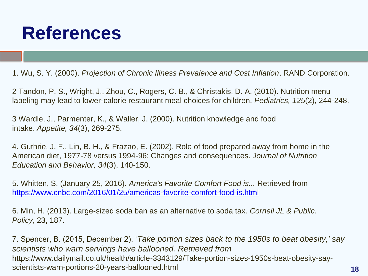## **References**

1. Wu, S. Y. (2000). *Projection of Chronic Illness Prevalence and Cost Inflation*. RAND Corporation.

2 Tandon, P. S., Wright, J., Zhou, C., Rogers, C. B., & Christakis, D. A. (2010). Nutrition menu labeling may lead to lower-calorie restaurant meal choices for children. *Pediatrics, 125*(2), 244-248.

3 Wardle, J., Parmenter, K., & Waller, J. (2000). Nutrition knowledge and food intake. *Appetite, 34*(3), 269-275.

4. Guthrie, J. F., Lin, B. H., & Frazao, E. (2002). Role of food prepared away from home in the American diet, 1977-78 versus 1994-96: Changes and consequences. *Journal of Nutrition Education and Behavior, 34*(3), 140-150.

5. Whitten, S. (January 25, 2016). *America's Favorite Comfort Food is...* Retrieved from <https://www.cnbc.com/2016/01/25/americas-favorite-comfort-food-is.html>

6. Min, H. (2013). Large-sized soda ban as an alternative to soda tax. *Cornell JL & Public. Policy*, 23, 187.

7. Spencer, B. (2015, December 2). '*Take portion sizes back to the 1950s to beat obesity,' say scientists who warn servings have ballooned. Retrieved from*  https://www.dailymail.co.uk/health/article-3343129/Take-portion-sizes-1950s-beat-obesity-sayscientists-warn-portions-20-years-ballooned.html **18**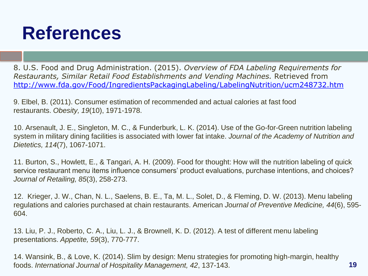## **References**

8. U.S. Food and Drug Administration. (2015). *Overview of FDA Labeling Requirements for Restaurants, Similar Retail Food Establishments and Vending Machines.* Retrieved from <http://www.fda.gov/Food/IngredientsPackagingLabeling/LabelingNutrition/ucm248732.htm>

9. Elbel, B. (2011). Consumer estimation of recommended and actual calories at fast food restaurants. *Obesity, 19*(10), 1971-1978.

10. Arsenault, J. E., Singleton, M. C., & Funderburk, L. K. (2014). Use of the Go-for-Green nutrition labeling system in military dining facilities is associated with lower fat intake. *Journal of the Academy of Nutrition and Dietetics, 114*(7), 1067-1071.

11. Burton, S., Howlett, E., & Tangari, A. H. (2009). Food for thought: How will the nutrition labeling of quick service restaurant menu items influence consumers' product evaluations, purchase intentions, and choices? *Journal of Retailing, 85*(3), 258-273.

12. Krieger, J. W., Chan, N. L., Saelens, B. E., Ta, M. L., Solet, D., & Fleming, D. W. (2013). Menu labeling regulations and calories purchased at chain restaurants. American *Journal of Preventive Medicine, 44*(6), 595- 604.

13. Liu, P. J., Roberto, C. A., Liu, L. J., & Brownell, K. D. (2012). A test of different menu labeling presentations. *Appetite, 59*(3), 770-777.

14. Wansink, B., & Love, K. (2014). Slim by design: Menu strategies for promoting high-margin, healthy foods. *International Journal of Hospitality Management, 42*, 137-143. **19**